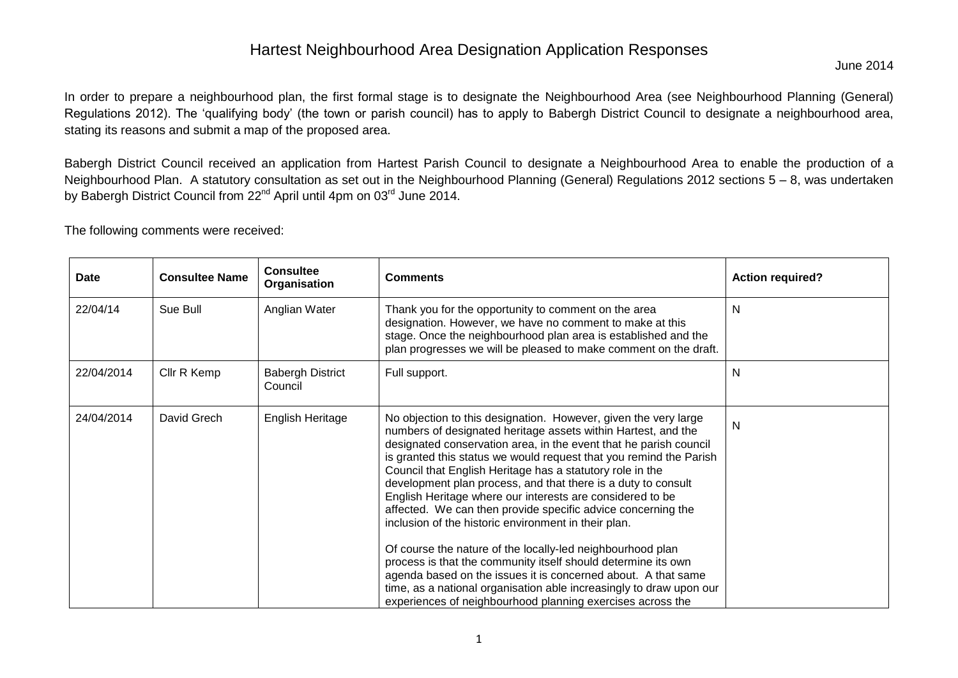In order to prepare a neighbourhood plan, the first formal stage is to designate the Neighbourhood Area (see Neighbourhood Planning (General) Regulations 2012). The 'qualifying body' (the town or parish council) has to apply to Babergh District Council to designate a neighbourhood area, stating its reasons and submit a map of the proposed area.

Babergh District Council received an application from Hartest Parish Council to designate a Neighbourhood Area to enable the production of a Neighbourhood Plan. A statutory consultation as set out in the Neighbourhood Planning (General) Regulations 2012 sections 5 – 8, was undertaken by Babergh District Council from 22<sup>nd</sup> April until 4pm on 03<sup>rd</sup> June 2014.

The following comments were received:

| Date       | <b>Consultee Name</b> | <b>Consultee</b><br>Organisation   | <b>Comments</b>                                                                                                                                                                                                                                                                                                                                                                                                                                                                                                                                                                                                                                                                                                                                                                                                                                                                                                                     | <b>Action required?</b> |
|------------|-----------------------|------------------------------------|-------------------------------------------------------------------------------------------------------------------------------------------------------------------------------------------------------------------------------------------------------------------------------------------------------------------------------------------------------------------------------------------------------------------------------------------------------------------------------------------------------------------------------------------------------------------------------------------------------------------------------------------------------------------------------------------------------------------------------------------------------------------------------------------------------------------------------------------------------------------------------------------------------------------------------------|-------------------------|
| 22/04/14   | Sue Bull              | Anglian Water                      | Thank you for the opportunity to comment on the area<br>designation. However, we have no comment to make at this<br>stage. Once the neighbourhood plan area is established and the<br>plan progresses we will be pleased to make comment on the draft.                                                                                                                                                                                                                                                                                                                                                                                                                                                                                                                                                                                                                                                                              | N                       |
| 22/04/2014 | Cllr R Kemp           | <b>Babergh District</b><br>Council | Full support.                                                                                                                                                                                                                                                                                                                                                                                                                                                                                                                                                                                                                                                                                                                                                                                                                                                                                                                       | N                       |
| 24/04/2014 | David Grech           | English Heritage                   | No objection to this designation. However, given the very large<br>numbers of designated heritage assets within Hartest, and the<br>designated conservation area, in the event that he parish council<br>is granted this status we would request that you remind the Parish<br>Council that English Heritage has a statutory role in the<br>development plan process, and that there is a duty to consult<br>English Heritage where our interests are considered to be<br>affected. We can then provide specific advice concerning the<br>inclusion of the historic environment in their plan.<br>Of course the nature of the locally-led neighbourhood plan<br>process is that the community itself should determine its own<br>agenda based on the issues it is concerned about. A that same<br>time, as a national organisation able increasingly to draw upon our<br>experiences of neighbourhood planning exercises across the | N                       |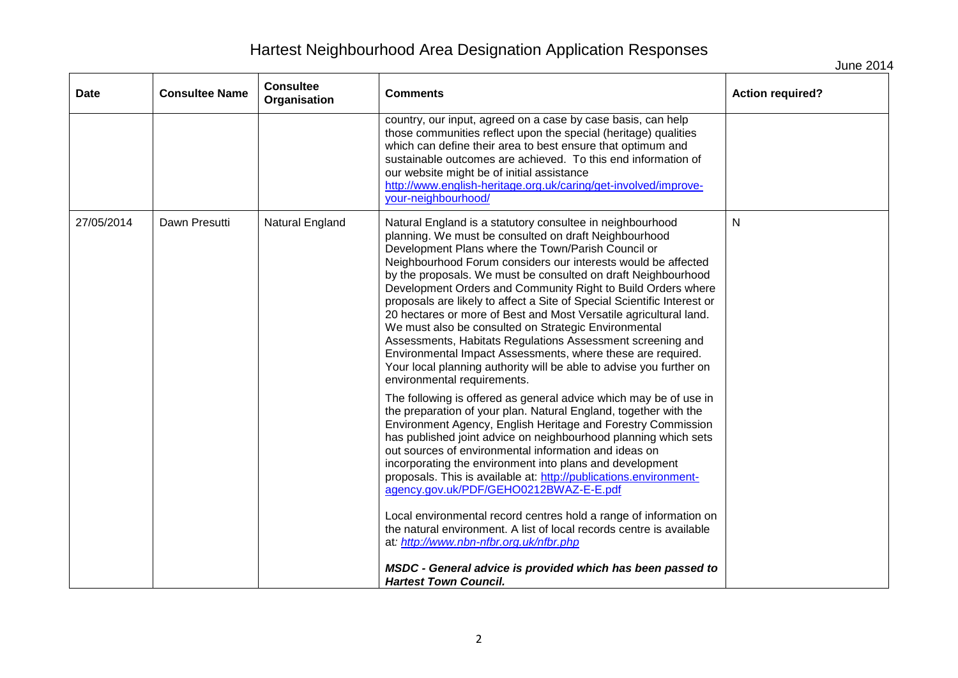June 2014

| Date       | <b>Consultee Name</b> | <b>Consultee</b><br>Organisation | <b>Comments</b>                                                                                                                                                                                                                                                                                                                                                                                                                                                                                                                                                                                                                                                                                                                                                                                                       | <b>Action required?</b> |
|------------|-----------------------|----------------------------------|-----------------------------------------------------------------------------------------------------------------------------------------------------------------------------------------------------------------------------------------------------------------------------------------------------------------------------------------------------------------------------------------------------------------------------------------------------------------------------------------------------------------------------------------------------------------------------------------------------------------------------------------------------------------------------------------------------------------------------------------------------------------------------------------------------------------------|-------------------------|
|            |                       |                                  | country, our input, agreed on a case by case basis, can help<br>those communities reflect upon the special (heritage) qualities<br>which can define their area to best ensure that optimum and<br>sustainable outcomes are achieved. To this end information of<br>our website might be of initial assistance<br>http://www.english-heritage.org.uk/caring/get-involved/improve-<br>your-neighbourhood/                                                                                                                                                                                                                                                                                                                                                                                                               |                         |
| 27/05/2014 | Dawn Presutti         | Natural England                  | Natural England is a statutory consultee in neighbourhood<br>planning. We must be consulted on draft Neighbourhood<br>Development Plans where the Town/Parish Council or<br>Neighbourhood Forum considers our interests would be affected<br>by the proposals. We must be consulted on draft Neighbourhood<br>Development Orders and Community Right to Build Orders where<br>proposals are likely to affect a Site of Special Scientific Interest or<br>20 hectares or more of Best and Most Versatile agricultural land.<br>We must also be consulted on Strategic Environmental<br>Assessments, Habitats Regulations Assessment screening and<br>Environmental Impact Assessments, where these are required.<br>Your local planning authority will be able to advise you further on<br>environmental requirements. | N                       |
|            |                       |                                  | The following is offered as general advice which may be of use in<br>the preparation of your plan. Natural England, together with the<br>Environment Agency, English Heritage and Forestry Commission<br>has published joint advice on neighbourhood planning which sets<br>out sources of environmental information and ideas on<br>incorporating the environment into plans and development<br>proposals. This is available at: http://publications.environment-<br>agency.gov.uk/PDF/GEHO0212BWAZ-E-E.pdf<br>Local environmental record centres hold a range of information on<br>the natural environment. A list of local records centre is available<br>at: http://www.nbn-nfbr.org.uk/nfbr.php<br>MSDC - General advice is provided which has been passed to<br><b>Hartest Town Council.</b>                    |                         |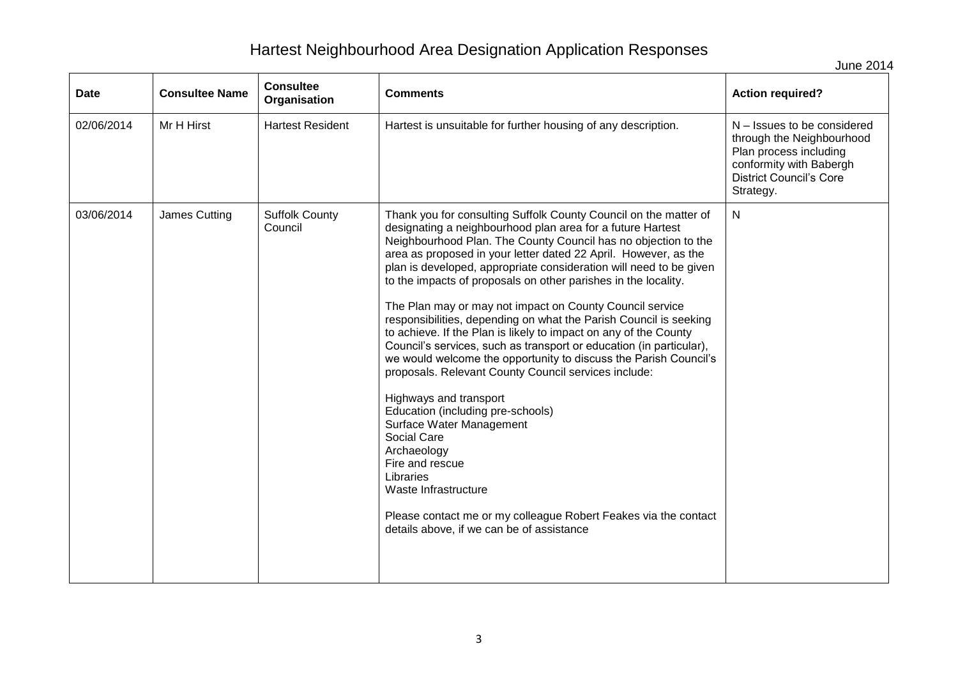June 2014

| Date       | <b>Consultee Name</b> | <b>Consultee</b><br>Organisation | <b>Comments</b>                                                                                                                                                                                                                                                                                                                                                                                                                                                                                                                                                                                                                                                                                                                                                                                                                                                                                                                                                                                                                                                                                                      | <b>Action required?</b>                                                                                                                                      |
|------------|-----------------------|----------------------------------|----------------------------------------------------------------------------------------------------------------------------------------------------------------------------------------------------------------------------------------------------------------------------------------------------------------------------------------------------------------------------------------------------------------------------------------------------------------------------------------------------------------------------------------------------------------------------------------------------------------------------------------------------------------------------------------------------------------------------------------------------------------------------------------------------------------------------------------------------------------------------------------------------------------------------------------------------------------------------------------------------------------------------------------------------------------------------------------------------------------------|--------------------------------------------------------------------------------------------------------------------------------------------------------------|
| 02/06/2014 | Mr H Hirst            | <b>Hartest Resident</b>          | Hartest is unsuitable for further housing of any description.                                                                                                                                                                                                                                                                                                                                                                                                                                                                                                                                                                                                                                                                                                                                                                                                                                                                                                                                                                                                                                                        | N – Issues to be considered<br>through the Neighbourhood<br>Plan process including<br>conformity with Babergh<br><b>District Council's Core</b><br>Strategy. |
| 03/06/2014 | James Cutting         | <b>Suffolk County</b><br>Council | Thank you for consulting Suffolk County Council on the matter of<br>designating a neighbourhood plan area for a future Hartest<br>Neighbourhood Plan. The County Council has no objection to the<br>area as proposed in your letter dated 22 April. However, as the<br>plan is developed, appropriate consideration will need to be given<br>to the impacts of proposals on other parishes in the locality.<br>The Plan may or may not impact on County Council service<br>responsibilities, depending on what the Parish Council is seeking<br>to achieve. If the Plan is likely to impact on any of the County<br>Council's services, such as transport or education (in particular),<br>we would welcome the opportunity to discuss the Parish Council's<br>proposals. Relevant County Council services include:<br>Highways and transport<br>Education (including pre-schools)<br>Surface Water Management<br>Social Care<br>Archaeology<br>Fire and rescue<br>Libraries<br>Waste Infrastructure<br>Please contact me or my colleague Robert Feakes via the contact<br>details above, if we can be of assistance | $\mathsf{N}$                                                                                                                                                 |